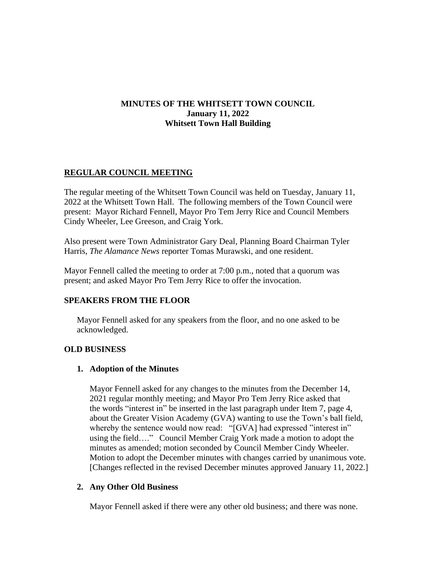# **MINUTES OF THE WHITSETT TOWN COUNCIL January 11, 2022 Whitsett Town Hall Building**

# **REGULAR COUNCIL MEETING**

The regular meeting of the Whitsett Town Council was held on Tuesday, January 11, 2022 at the Whitsett Town Hall. The following members of the Town Council were present: Mayor Richard Fennell, Mayor Pro Tem Jerry Rice and Council Members Cindy Wheeler, Lee Greeson, and Craig York.

Also present were Town Administrator Gary Deal, Planning Board Chairman Tyler Harris, *The Alamance News* reporter Tomas Murawski, and one resident.

Mayor Fennell called the meeting to order at 7:00 p.m., noted that a quorum was present; and asked Mayor Pro Tem Jerry Rice to offer the invocation.

### **SPEAKERS FROM THE FLOOR**

Mayor Fennell asked for any speakers from the floor, and no one asked to be acknowledged.

#### **OLD BUSINESS**

#### **1. Adoption of the Minutes**

Mayor Fennell asked for any changes to the minutes from the December 14, 2021 regular monthly meeting; and Mayor Pro Tem Jerry Rice asked that the words "interest in" be inserted in the last paragraph under Item 7, page 4, about the Greater Vision Academy (GVA) wanting to use the Town's ball field, whereby the sentence would now read: "[GVA] had expressed "interest in" using the field…." Council Member Craig York made a motion to adopt the minutes as amended; motion seconded by Council Member Cindy Wheeler. Motion to adopt the December minutes with changes carried by unanimous vote. [Changes reflected in the revised December minutes approved January 11, 2022.]

### **2. Any Other Old Business**

Mayor Fennell asked if there were any other old business; and there was none.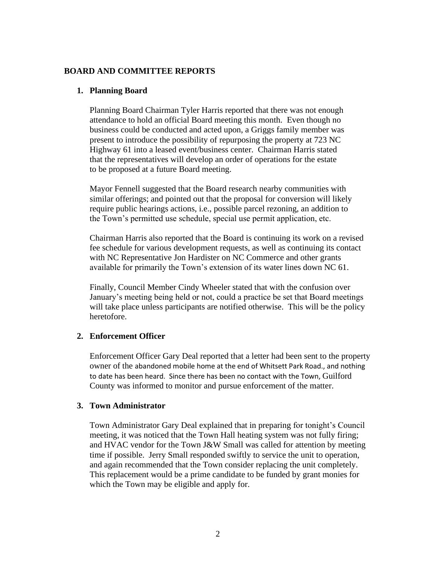### **BOARD AND COMMITTEE REPORTS**

#### **1. Planning Board**

Planning Board Chairman Tyler Harris reported that there was not enough attendance to hold an official Board meeting this month. Even though no business could be conducted and acted upon, a Griggs family member was present to introduce the possibility of repurposing the property at 723 NC Highway 61 into a leased event/business center. Chairman Harris stated that the representatives will develop an order of operations for the estate to be proposed at a future Board meeting.

Mayor Fennell suggested that the Board research nearby communities with similar offerings; and pointed out that the proposal for conversion will likely require public hearings actions, i.e., possible parcel rezoning, an addition to the Town's permitted use schedule, special use permit application, etc.

Chairman Harris also reported that the Board is continuing its work on a revised fee schedule for various development requests, as well as continuing its contact with NC Representative Jon Hardister on NC Commerce and other grants available for primarily the Town's extension of its water lines down NC 61.

Finally, Council Member Cindy Wheeler stated that with the confusion over January's meeting being held or not, could a practice be set that Board meetings will take place unless participants are notified otherwise. This will be the policy heretofore.

### **2. Enforcement Officer**

Enforcement Officer Gary Deal reported that a letter had been sent to the property owner of the abandoned mobile home at the end of Whitsett Park Road., and nothing to date has been heard. Since there has been no contact with the Town, Guilford County was informed to monitor and pursue enforcement of the matter.

#### **3. Town Administrator**

Town Administrator Gary Deal explained that in preparing for tonight's Council meeting, it was noticed that the Town Hall heating system was not fully firing; and HVAC vendor for the Town J&W Small was called for attention by meeting time if possible. Jerry Small responded swiftly to service the unit to operation, and again recommended that the Town consider replacing the unit completely. This replacement would be a prime candidate to be funded by grant monies for which the Town may be eligible and apply for.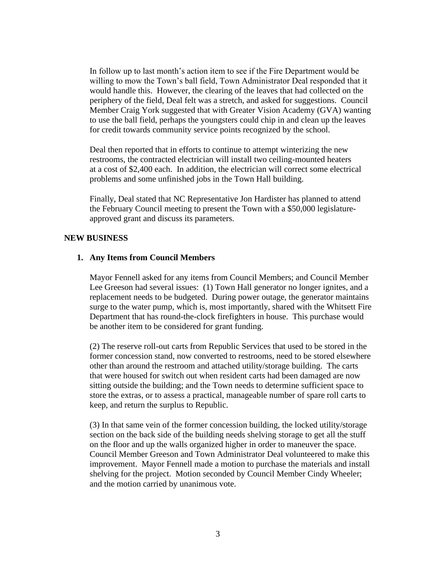In follow up to last month's action item to see if the Fire Department would be willing to mow the Town's ball field, Town Administrator Deal responded that it would handle this. However, the clearing of the leaves that had collected on the periphery of the field, Deal felt was a stretch, and asked for suggestions. Council Member Craig York suggested that with Greater Vision Academy (GVA) wanting to use the ball field, perhaps the youngsters could chip in and clean up the leaves for credit towards community service points recognized by the school.

Deal then reported that in efforts to continue to attempt winterizing the new restrooms, the contracted electrician will install two ceiling-mounted heaters at a cost of \$2,400 each. In addition, the electrician will correct some electrical problems and some unfinished jobs in the Town Hall building.

Finally, Deal stated that NC Representative Jon Hardister has planned to attend the February Council meeting to present the Town with a \$50,000 legislatureapproved grant and discuss its parameters.

### **NEW BUSINESS**

### **1. Any Items from Council Members**

Mayor Fennell asked for any items from Council Members; and Council Member Lee Greeson had several issues: (1) Town Hall generator no longer ignites, and a replacement needs to be budgeted. During power outage, the generator maintains surge to the water pump, which is, most importantly, shared with the Whitsett Fire Department that has round-the-clock firefighters in house. This purchase would be another item to be considered for grant funding.

(2) The reserve roll-out carts from Republic Services that used to be stored in the former concession stand, now converted to restrooms, need to be stored elsewhere other than around the restroom and attached utility/storage building. The carts that were housed for switch out when resident carts had been damaged are now sitting outside the building; and the Town needs to determine sufficient space to store the extras, or to assess a practical, manageable number of spare roll carts to keep, and return the surplus to Republic.

(3) In that same vein of the former concession building, the locked utility/storage section on the back side of the building needs shelving storage to get all the stuff on the floor and up the walls organized higher in order to maneuver the space. Council Member Greeson and Town Administrator Deal volunteered to make this improvement. Mayor Fennell made a motion to purchase the materials and install shelving for the project. Motion seconded by Council Member Cindy Wheeler; and the motion carried by unanimous vote.